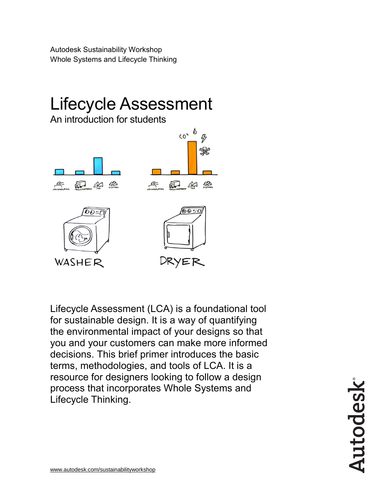Autodesk Sustainability Workshop Whole Systems and Lifecycle Thinking



Lifecycle Assessment (LCA) is a foundational tool for sustainable design. It is a way of quantifying the environmental impact of your designs so that you and your customers can make more informed decisions. This brief primer introduces the basic terms, methodologies, and tools of LCA. It is a resource for designers looking to follow a design process that incorporates Whole Systems and Lifecycle Thinking.

Autodesk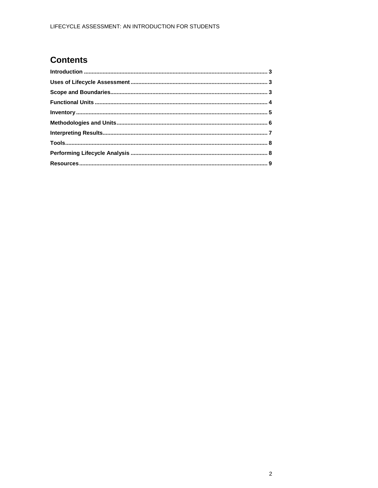### **Contents**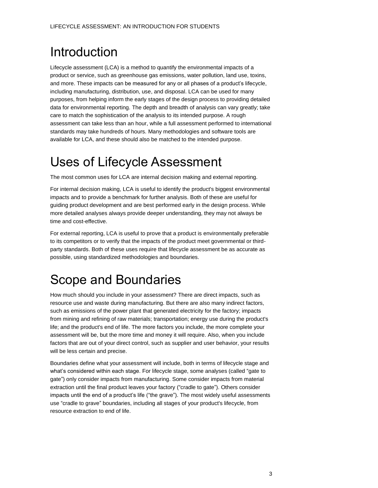## <span id="page-2-0"></span>Introduction

Lifecycle assessment (LCA) is a method to quantify the environmental impacts of a product or service, such as greenhouse gas emissions, water pollution, land use, toxins, and more. These impacts can be measured for any or all phases of a product's lifecycle, including manufacturing, distribution, use, and disposal. LCA can be used for many purposes, from helping inform the early stages of the design process to providing detailed data for environmental reporting. The depth and breadth of analysis can vary greatly; take care to match the sophistication of the analysis to its intended purpose. A rough assessment can take less than an hour, while a full assessment performed to international standards may take hundreds of hours. Many methodologies and software tools are available for LCA, and these should also be matched to the intended purpose.

# <span id="page-2-1"></span>Uses of Lifecycle Assessment

The most common uses for LCA are internal decision making and external reporting.

For internal decision making, LCA is useful to identify the product's biggest environmental impacts and to provide a benchmark for further analysis. Both of these are useful for guiding product development and are best performed early in the design process. While more detailed analyses always provide deeper understanding, they may not always be time and cost-effective.

For external reporting, LCA is useful to prove that a product is environmentally preferable to its competitors or to verify that the impacts of the product meet governmental or thirdparty standards. Both of these uses require that lifecycle assessment be as accurate as possible, using standardized methodologies and boundaries.

### <span id="page-2-2"></span>Scope and Boundaries

How much should you include in your assessment? There are direct impacts, such as resource use and waste during manufacturing. But there are also many indirect factors, such as emissions of the power plant that generated electricity for the factory; impacts from mining and refining of raw materials; transportation; energy use during the product's life; and the product's end of life. The more factors you include, the more complete your assessment will be, but the more time and money it will require. Also, when you include factors that are out of your direct control, such as supplier and user behavior, your results will be less certain and precise.

Boundaries define what your assessment will include, both in terms of lifecycle stage and what's considered within each stage. For lifecycle stage, some analyses (called "gate to gate") only consider impacts from manufacturing. Some consider impacts from material extraction until the final product leaves your factory ("cradle to gate"). Others consider impacts until the end of a product's life ("the grave"). The most widely useful assessments use "cradle to grave" boundaries, including all stages of your product's lifecycle, from resource extraction to end of life.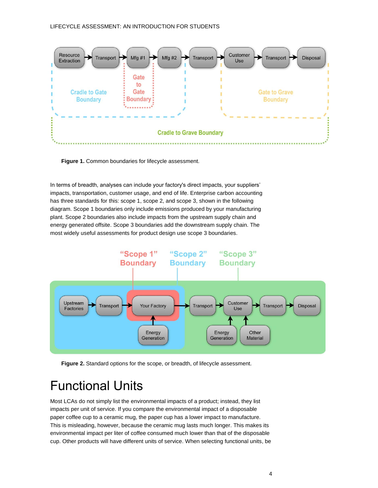

**Figure 1.** Common boundaries for lifecycle assessment.

In terms of breadth, analyses can include your factory's direct impacts, your suppliers' impacts, transportation, customer usage, and end of life. Enterprise carbon accounting has three standards for this: scope 1, scope 2, and scope 3, shown in the following diagram. Scope 1 boundaries only include emissions produced by your manufacturing plant. Scope 2 boundaries also include impacts from the upstream supply chain and energy generated offsite. Scope 3 boundaries add the downstream supply chain. The most widely useful assessments for product design use scope 3 boundaries.



**Figure 2.** Standard options for the scope, or breadth, of lifecycle assessment.

## <span id="page-3-0"></span>Functional Units

Most LCAs do not simply list the environmental impacts of a product; instead, they list impacts per unit of service. If you compare the environmental impact of a disposable paper coffee cup to a ceramic mug, the paper cup has a lower impact to manufacture. This is misleading, however, because the ceramic mug lasts much longer. This makes its environmental impact per liter of coffee consumed much lower than that of the disposable cup. Other products will have different units of service. When selecting functional units, be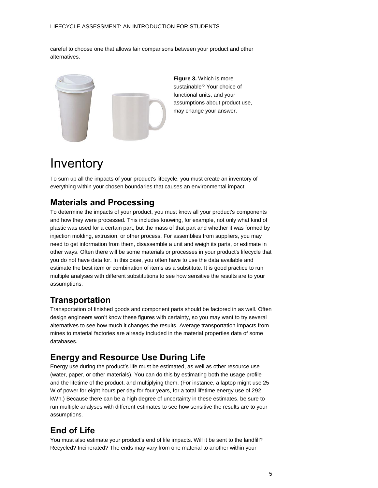careful to choose one that allows fair comparisons between your product and other alternatives.



**Figure 3.** Which is more sustainable? Your choice of functional units, and your assumptions about product use, may change your answer.

## <span id="page-4-0"></span>Inventory

To sum up all the impacts of your product's lifecycle, you must create an inventory of everything within your chosen boundaries that causes an environmental impact.

### **Materials and Processing**

To determine the impacts of your product, you must know all your product's components and how they were processed. This includes knowing, for example, not only what kind of plastic was used for a certain part, but the mass of that part and whether it was formed by injection molding, extrusion, or other process. For assemblies from suppliers, you may need to get information from them, disassemble a unit and weigh its parts, or estimate in other ways. Often there will be some materials or processes in your product's lifecycle that you do not have data for. In this case, you often have to use the data available and estimate the best item or combination of items as a substitute. It is good practice to run multiple analyses with different substitutions to see how sensitive the results are to your assumptions.

### **Transportation**

Transportation of finished goods and component parts should be factored in as well. Often design engineers won't know these figures with certainty, so you may want to try several alternatives to see how much it changes the results. Average transportation impacts from mines to material factories are already included in the material properties data of some databases.

### **Energy and Resource Use During Life**

Energy use during the product's life must be estimated, as well as other resource use (water, paper, or other materials). You can do this by estimating both the usage profile and the lifetime of the product, and multiplying them. (For instance, a laptop might use 25 W of power for eight hours per day for four years, for a total lifetime energy use of 292 kWh.) Because there can be a high degree of uncertainty in these estimates, be sure to run multiple analyses with different estimates to see how sensitive the results are to your assumptions.

### **End of Life**

You must also estimate your product's end of life impacts. Will it be sent to the landfill? Recycled? Incinerated? The ends may vary from one material to another within your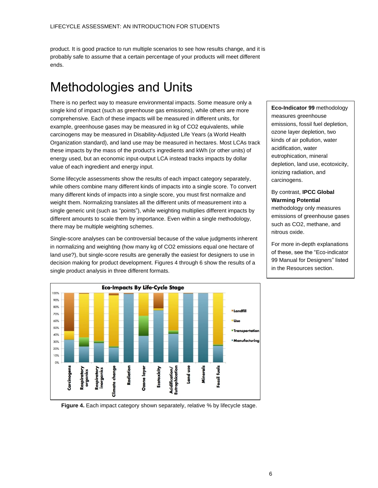product. It is good practice to run multiple scenarios to see how results change, and it is probably safe to assume that a certain percentage of your products will meet different ends.

## <span id="page-5-0"></span>Methodologies and Units

There is no perfect way to measure environmental impacts. Some measure only a single kind of impact (such as greenhouse gas emissions), while others are more comprehensive. Each of these impacts will be measured in different units, for example, greenhouse gases may be measured in kg of CO2 equivalents, while carcinogens may be measured in Disability-Adjusted Life Years (a World Health Organization standard), and land use may be measured in hectares. Most LCAs track these impacts by the mass of the product's ingredients and kWh (or other units) of energy used, but an economic input-output LCA instead tracks impacts by dollar value of each ingredient and energy input.

Some lifecycle assessments show the results of each impact category separately, while others combine many different kinds of impacts into a single score. To convert many different kinds of impacts into a single score, you must first normalize and weight them. Normalizing translates all the different units of measurement into a single generic unit (such as "points"), while weighting multiplies different impacts by different amounts to scale them by importance. Even within a single methodology, there may be multiple weighting schemes.

Single-score analyses can be controversial because of the value judgments inherent in normalizing and weighting (how many kg of CO2 emissions equal one hectare of land use?), but single-score results are generally the easiest for designers to use in decision making for product development. Figures 4 through 6 show the results of a single product analysis in three different formats.

**Eco-Impacts By Life-Cycle Stage** 00% 90% 80% **-** Landfill 70% 60% **Use** 50% - Transportati 40% **Manufacturing** 30% 20%  $10%$ Respiratory<br>inorganics imate change Radiation Respiratory<br>organics Ecotoxicity iutrophication Land use ossil fuels **Carcinogens Dzone** layer Minerals dification/

**Eco-Indicator 99** methodology measures greenhouse emissions, fossil fuel depletion, ozone layer depletion, two kinds of air pollution, water acidification, water eutrophication, mineral depletion, land use, ecotoxicity, ionizing radiation, and carcinogens.

#### By contrast, **IPCC Global Warming Potential**

methodology only measures emissions of greenhouse gases such as CO2, methane, and nitrous oxide.

For more in-depth explanations of these, see the "Eco-indicator 99 Manual for Designers" listed in the Resources section.

**Figure 4.** Each impact category shown separately, relative % by lifecycle stage.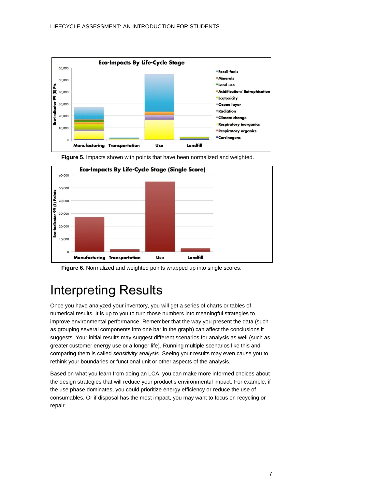



**Figure 5.** Impacts shown with points that have been normalized and weighted.

**Figure 6.** Normalized and weighted points wrapped up into single scores.

## <span id="page-6-0"></span>Interpreting Results

Once you have analyzed your inventory, you will get a series of charts or tables of numerical results. It is up to you to turn those numbers into meaningful strategies to improve environmental performance. Remember that the way you present the data (such as grouping several components into one bar in the graph) can affect the conclusions it suggests. Your initial results may suggest different scenarios for analysis as well (such as greater customer energy use or a longer life). Running multiple scenarios like this and comparing them is called *sensitivity analysis*. Seeing your results may even cause you to rethink your boundaries or functional unit or other aspects of the analysis.

Based on what you learn from doing an LCA, you can make more informed choices about the design strategies that will reduce your product's environmental impact. For example, if the use phase dominates, you could prioritize energy efficiency or reduce the use of consumables. Or if disposal has the most impact, you may want to focus on recycling or repair.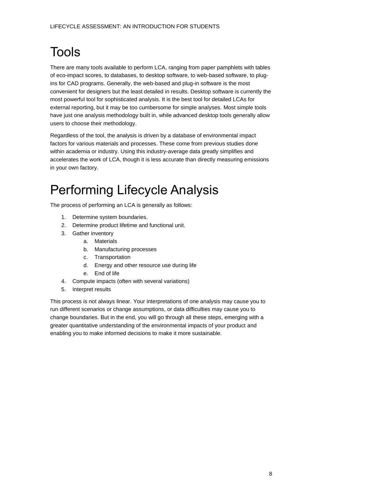# <span id="page-7-0"></span>**Tools**

There are many tools available to perform LCA, ranging from paper pamphlets with tables of eco-impact scores, to databases, to desktop software, to web-based software, to plugins for CAD programs. Generally, the web-based and plug-in software is the most convenient for designers but the least detailed in results. Desktop software is currently the most powerful tool for sophisticated analysis. It is the best tool for detailed LCAs for external reporting, but it may be too cumbersome for simple analyses. Most simple tools have just one analysis methodology built in, while advanced desktop tools generally allow users to choose their methodology.

Regardless of the tool, the analysis is driven by a database of environmental impact factors for various materials and processes. These come from previous studies done within academia or industry. Using this industry-average data greatly simplifies and accelerates the work of LCA, though it is less accurate than directly measuring emissions in your own factory.

## <span id="page-7-1"></span>Performing Lifecycle Analysis

The process of performing an LCA is generally as follows:

- 1. Determine system boundaries.
- 2. Determine product lifetime and functional unit.
- 3. Gather inventory
	- a. Materials
		- b. Manufacturing processes
		- c. Transportation
		- d. Energy and other resource use during life
		- e. End of life
- 4. Compute impacts (often with several variations)
- 5. Interpret results

This process is not always linear. Your interpretations of one analysis may cause you to run different scenarios or change assumptions, or data difficulties may cause you to change boundaries. But in the end, you will go through all these steps, emerging with a greater quantitative understanding of the environmental impacts of your product and enabling you to make informed decisions to make it more sustainable.